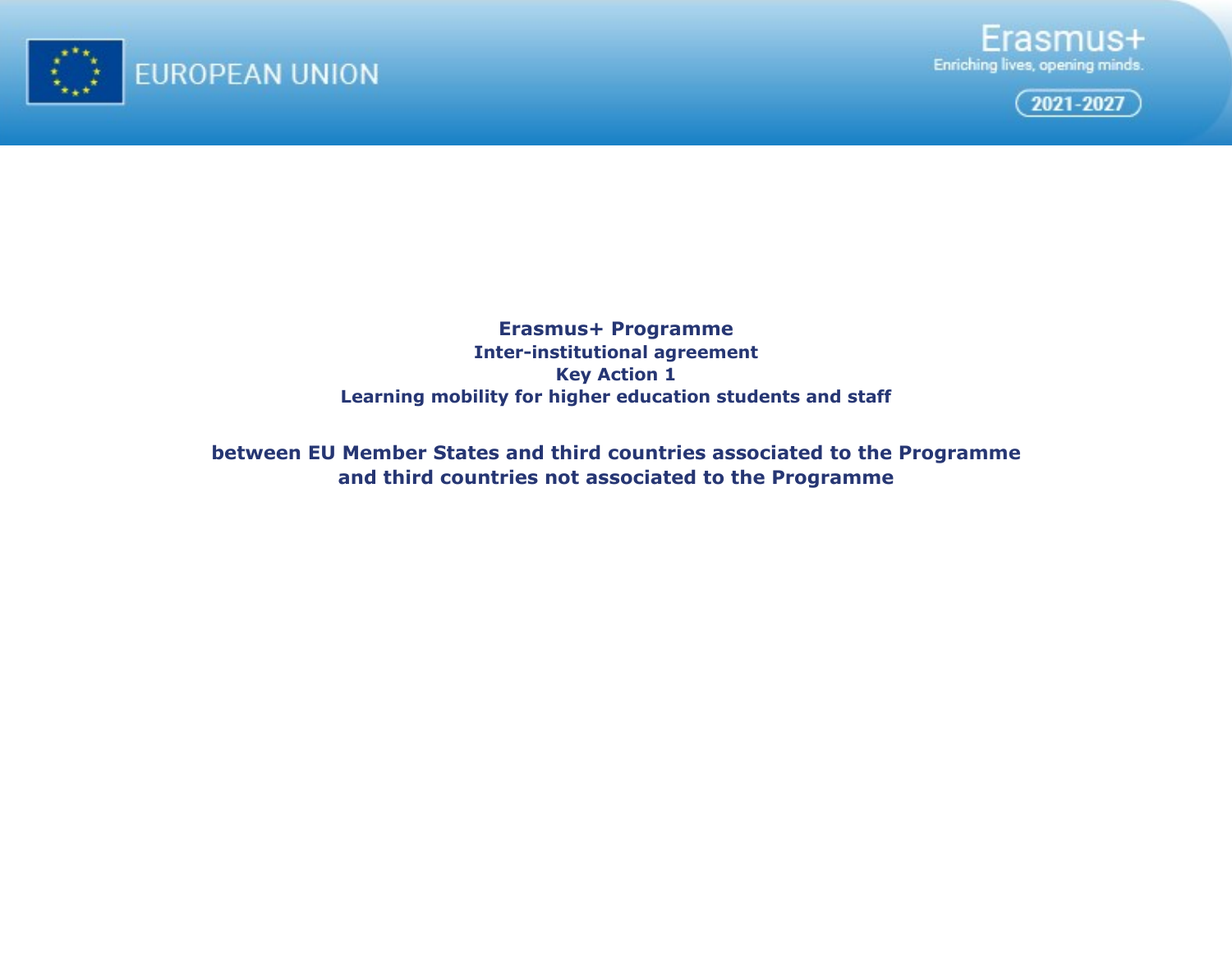





**Erasmus+ Programme Inter-institutional agreement Key Action 1 Learning mobility for higher education students and staff**

**between EU Member States and third countries associated to the Programme and third countries not associated to the Programme**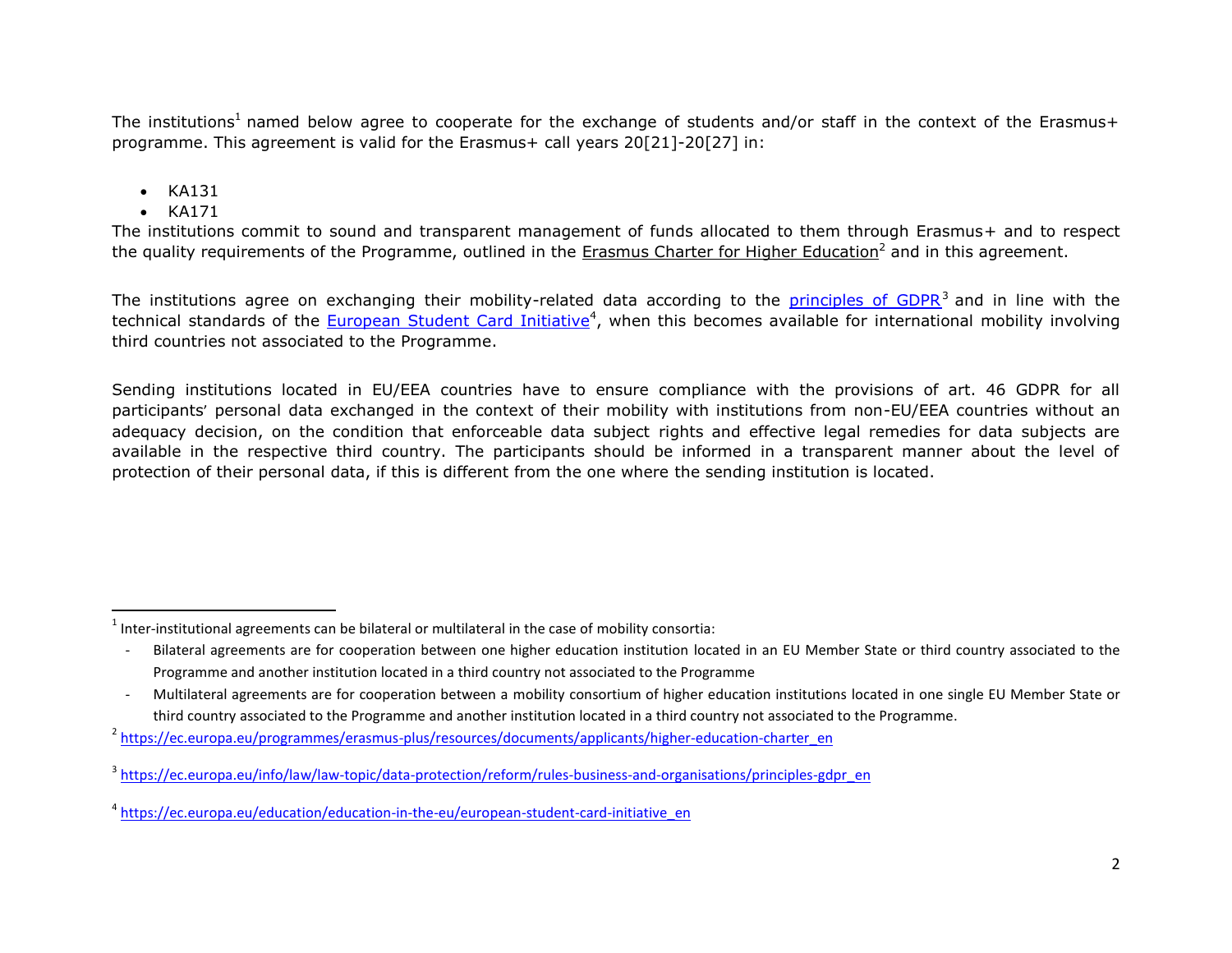The institutions<sup>1</sup> named below agree to cooperate for the exchange of students and/or staff in the context of the Erasmus+ programme. This agreement is valid for the Erasmus+ call years 20[21]-20[27] in:

- $\bullet$  KA131
- $\bullet$  KA171

 $\overline{\phantom{a}}$ 

The institutions commit to sound and transparent management of funds allocated to them through Erasmus+ and to respect the quality requirements of the Programme, outlined in the [Erasmus Charter for Higher Education](https://ec.europa.eu/programmes/erasmus-plus/resources/documents/applicants/higher-education-charter_en)<sup>2</sup> and in this agreement.

The institutions agree on exchanging their mobility-related data according to the *principles of GDPR*<sup>3</sup> and in line with the technical standards of the [European Student Card Initiative](https://ec.europa.eu/education/education-in-the-eu/european-student-card-initiative_en)<sup>4</sup>, when this becomes available for international mobility involving third countries not associated to the Programme.

Sending institutions located in EU/EEA countries have to ensure compliance with the provisions of art. 46 GDPR for all participants' personal data exchanged in the context of their mobility with institutions from non-EU/EEA countries without an adequacy decision, on the condition that enforceable data subject rights and effective legal remedies for data subjects are available in the respective third country. The participants should be informed in a transparent manner about the level of protection of their personal data, if this is different from the one where the sending institution is located.

 $<sup>1</sup>$  Inter-institutional agreements can be bilateral or multilateral in the case of mobility consortia:</sup>

Bilateral agreements are for cooperation between one higher education institution located in an EU Member State or third country associated to the Programme and another institution located in a third country not associated to the Programme

<sup>-</sup> Multilateral agreements are for cooperation between a mobility consortium of higher education institutions located in one single EU Member State or third country associated to the Programme and another institution located in a third country not associated to the Programme.

<sup>&</sup>lt;sup>2</sup> [https://ec.europa.eu/programmes/erasmus-plus/resources/documents/applicants/higher-education-charter\\_en](https://ec.europa.eu/programmes/erasmus-plus/resources/documents/applicants/higher-education-charter_en)

<sup>&</sup>lt;sup>3</sup>[https://ec.europa.eu/info/law/law-topic/data-protection/reform/rules-business-and-organisations/principles-gdpr\\_en](https://ec.europa.eu/info/law/law-topic/data-protection/reform/rules-business-and-organisations/principles-gdpr_en)

<sup>&</sup>lt;sup>4</sup> https://ec.europa.eu/education/education-in-the-eu/european-student-card-initiative en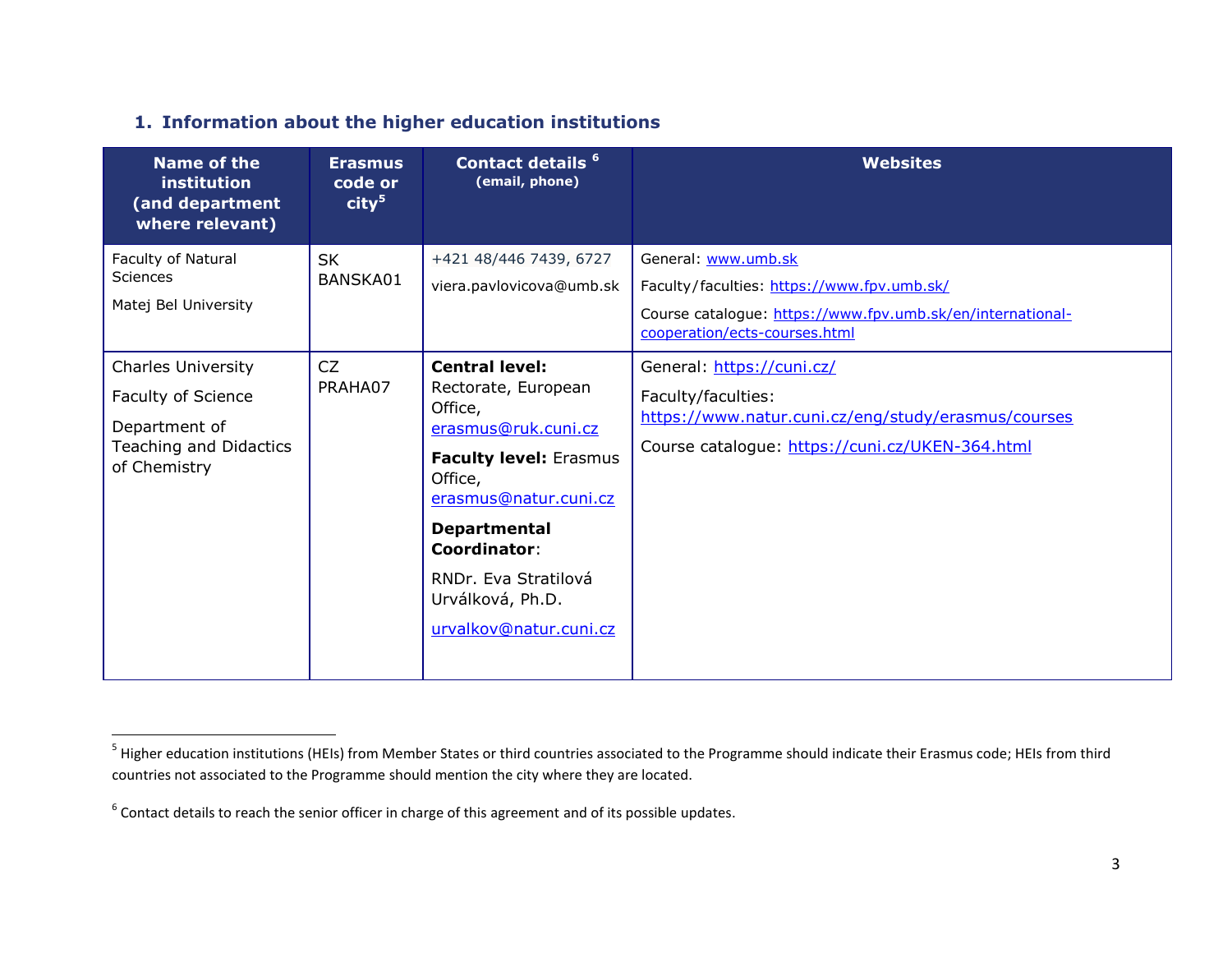# **1. Information about the higher education institutions**

| <b>Name of the</b><br>institution<br>(and department<br>where relevant)                                    | <b>Erasmus</b><br>code or<br>city <sup>5</sup> | Contact details <sup>6</sup><br>(email, phone)                                                                                                                                                                                                                          | <b>Websites</b>                                                                                                                                                  |
|------------------------------------------------------------------------------------------------------------|------------------------------------------------|-------------------------------------------------------------------------------------------------------------------------------------------------------------------------------------------------------------------------------------------------------------------------|------------------------------------------------------------------------------------------------------------------------------------------------------------------|
| Faculty of Natural<br>Sciences<br>Matej Bel University                                                     | <b>SK</b><br>BANSKA01                          | +421 48/446 7439, 6727<br>viera.pavlovicova@umb.sk                                                                                                                                                                                                                      | General: www.umb.sk<br>Faculty/faculties: https://www.fpv.umb.sk/<br>Course catalogue: https://www.fpv.umb.sk/en/international-<br>cooperation/ects-courses.html |
| <b>Charles University</b><br>Faculty of Science<br>Department of<br>Teaching and Didactics<br>of Chemistry | CZ<br>PRAHA07                                  | <b>Central level:</b><br>Rectorate, European<br>Office,<br>erasmus@ruk.cuni.cz<br><b>Faculty level: Erasmus</b><br>Office,<br>erasmus@natur.cuni.cz<br><b>Departmental</b><br><b>Coordinator:</b><br>RNDr. Eva Stratilová<br>Urválková, Ph.D.<br>urvalkov@natur.cuni.cz | General: https://cuni.cz/<br>Faculty/faculties:<br>https://www.natur.cuni.cz/eng/study/erasmus/courses<br>Course catalogue: https://cuni.cz/UKEN-364.html        |

<sup>&</sup>lt;u>5</u><br><sup>5</sup> Higher education institutions (HEIs) from Member States or third countries associated to the Programme should indicate their Erasmus code; HEIs from third countries not associated to the Programme should mention the city where they are located.

 $^6$  Contact details to reach the senior officer in charge of this agreement and of its possible updates.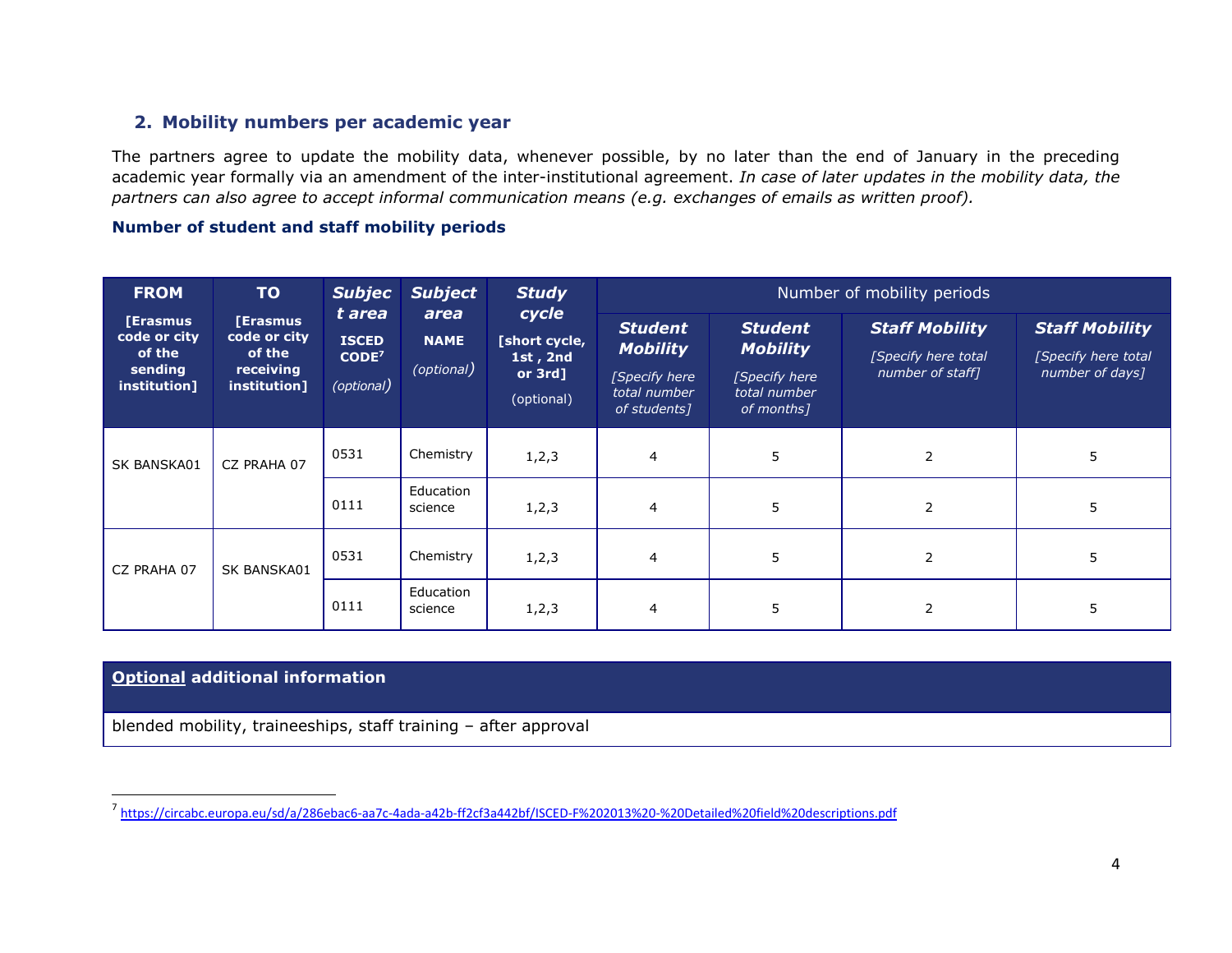### **2. Mobility numbers per academic year**

The partners agree to update the mobility data, whenever possible, by no later than the end of January in the preceding academic year formally via an amendment of the inter-institutional agreement. *In case of later updates in the mobility data, the partners can also agree to accept informal communication means (e.g. exchanges of emails as written proof).*

#### **Number of student and staff mobility periods**

| <b>FROM</b>                                                   | <b>TO</b>                                                              | <b>Subjec</b>                                                   | <b>Subject</b>                    | <b>Study</b><br>cycle<br>[short cycle,<br>1st, $2nd$<br>or $3rd$ ]<br>(optional) | Number of mobility periods                                                         |                                                                                   |                                                                  |                                                                 |
|---------------------------------------------------------------|------------------------------------------------------------------------|-----------------------------------------------------------------|-----------------------------------|----------------------------------------------------------------------------------|------------------------------------------------------------------------------------|-----------------------------------------------------------------------------------|------------------------------------------------------------------|-----------------------------------------------------------------|
| [Erasmus<br>code or city<br>of the<br>sending<br>institution] | <b>[Erasmus</b><br>code or city<br>of the<br>receiving<br>institution] | t area<br><b>ISCED</b><br>CODE <sup>7</sup><br>$($ optional $)$ | area<br><b>NAME</b><br>(optional) |                                                                                  | <b>Student</b><br><b>Mobility</b><br>[Specify here<br>total number<br>of students] | <b>Student</b><br><b>Mobility</b><br>[Specify here]<br>total number<br>of months] | <b>Staff Mobility</b><br>[Specify here total<br>number of staff] | <b>Staff Mobility</b><br>[Specify here total<br>number of days] |
| <b>SK BANSKA01</b>                                            | CZ PRAHA 07                                                            | 0531                                                            | Chemistry                         | 1, 2, 3                                                                          | 4                                                                                  | 5                                                                                 | $\overline{2}$                                                   | 5                                                               |
|                                                               |                                                                        | 0111                                                            | Education<br>science              | 1, 2, 3                                                                          | 4                                                                                  | 5                                                                                 | 2                                                                | 5                                                               |
| CZ PRAHA 07                                                   | SK BANSKA01                                                            | 0531                                                            | Chemistry                         | 1, 2, 3                                                                          | 4                                                                                  | 5                                                                                 | 2                                                                | 5                                                               |
|                                                               |                                                                        | 0111                                                            | Education<br>science              | 1, 2, 3                                                                          | 4                                                                                  | 5                                                                                 | 2                                                                | 5                                                               |

#### **Optional additional information**

blended mobility, traineeships, staff training – after approval

 7 <https://circabc.europa.eu/sd/a/286ebac6-aa7c-4ada-a42b-ff2cf3a442bf/ISCED-F%202013%20-%20Detailed%20field%20descriptions.pdf>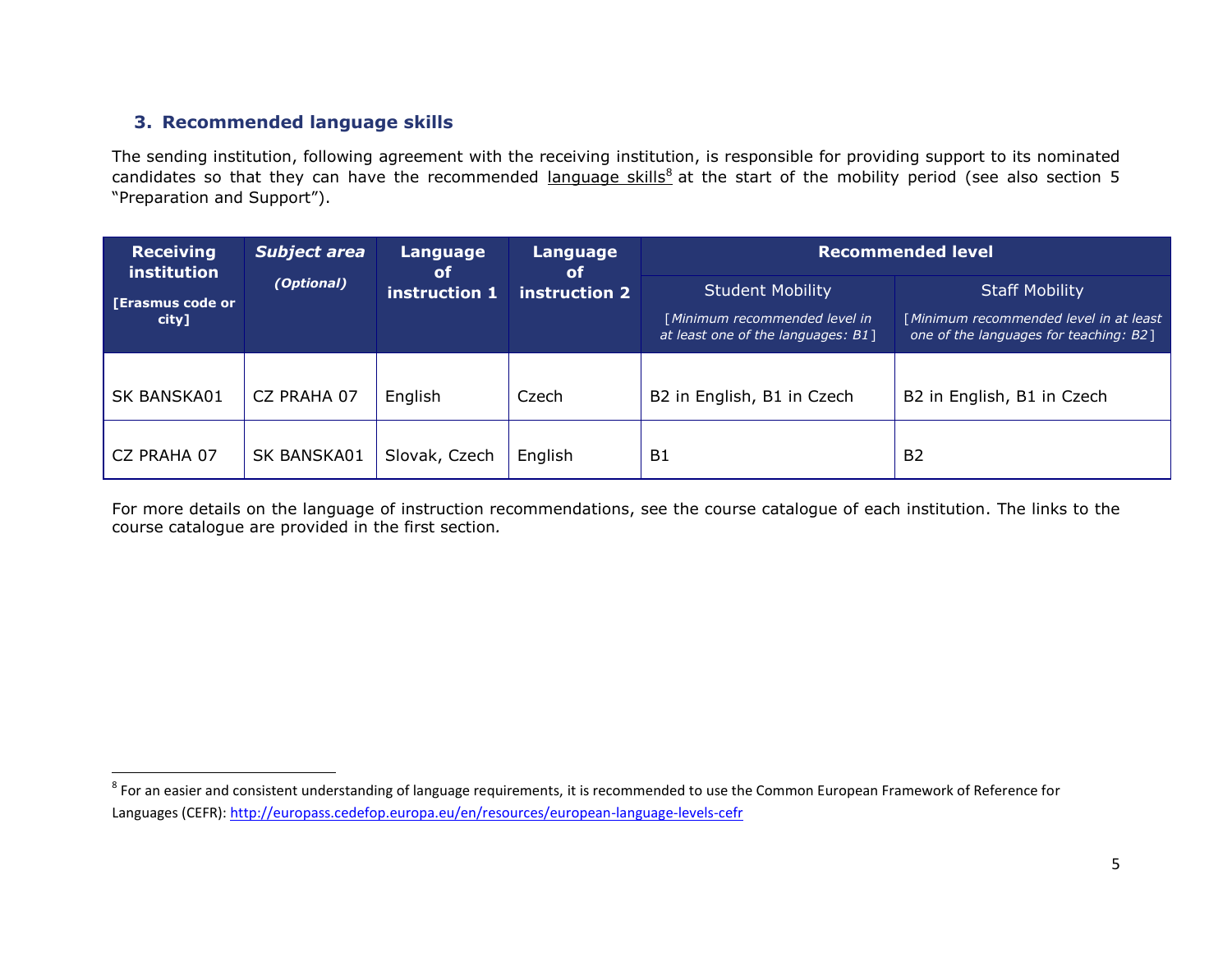## **3. Recommended language skills**

The sending institution, following agreement with the receiving institution, is responsible for providing support to its nominated candidates so that they can have the recommended language skills<sup>8</sup> at the start of the mobility period (see also section 5 "Preparation and Support").

| <b>Receiving</b><br>institution  | Subject area | Language<br>of | Language<br><b>of</b> |                                                                                                | <b>Recommended level</b>                                                                                  |  |  |
|----------------------------------|--------------|----------------|-----------------------|------------------------------------------------------------------------------------------------|-----------------------------------------------------------------------------------------------------------|--|--|
| <b>[Erasmus code or</b><br>city] | (Optional)   | instruction 1  | instruction 2         | <b>Student Mobility</b><br>[Minimum recommended level in<br>at least one of the languages: B1] | <b>Staff Mobility</b><br>[Minimum recommended level in at least<br>one of the languages for teaching: B2] |  |  |
| SK BANSKA01                      | CZ PRAHA 07  | English        | Czech                 | B2 in English, B1 in Czech                                                                     | B2 in English, B1 in Czech                                                                                |  |  |
| CZ PRAHA 07                      | SK BANSKA01  | Slovak, Czech  | English               | B1                                                                                             | <b>B2</b>                                                                                                 |  |  |

For more details on the language of instruction recommendations, see the course catalogue of each institution. The links to the course catalogue are provided in the first section*.*

**EXECTS**<br><sup>8</sup> For an easier and consistent understanding of language requirements, it is recommended to use the Common European Framework of Reference for Languages (CEFR):<http://europass.cedefop.europa.eu/en/resources/european-language-levels-cefr>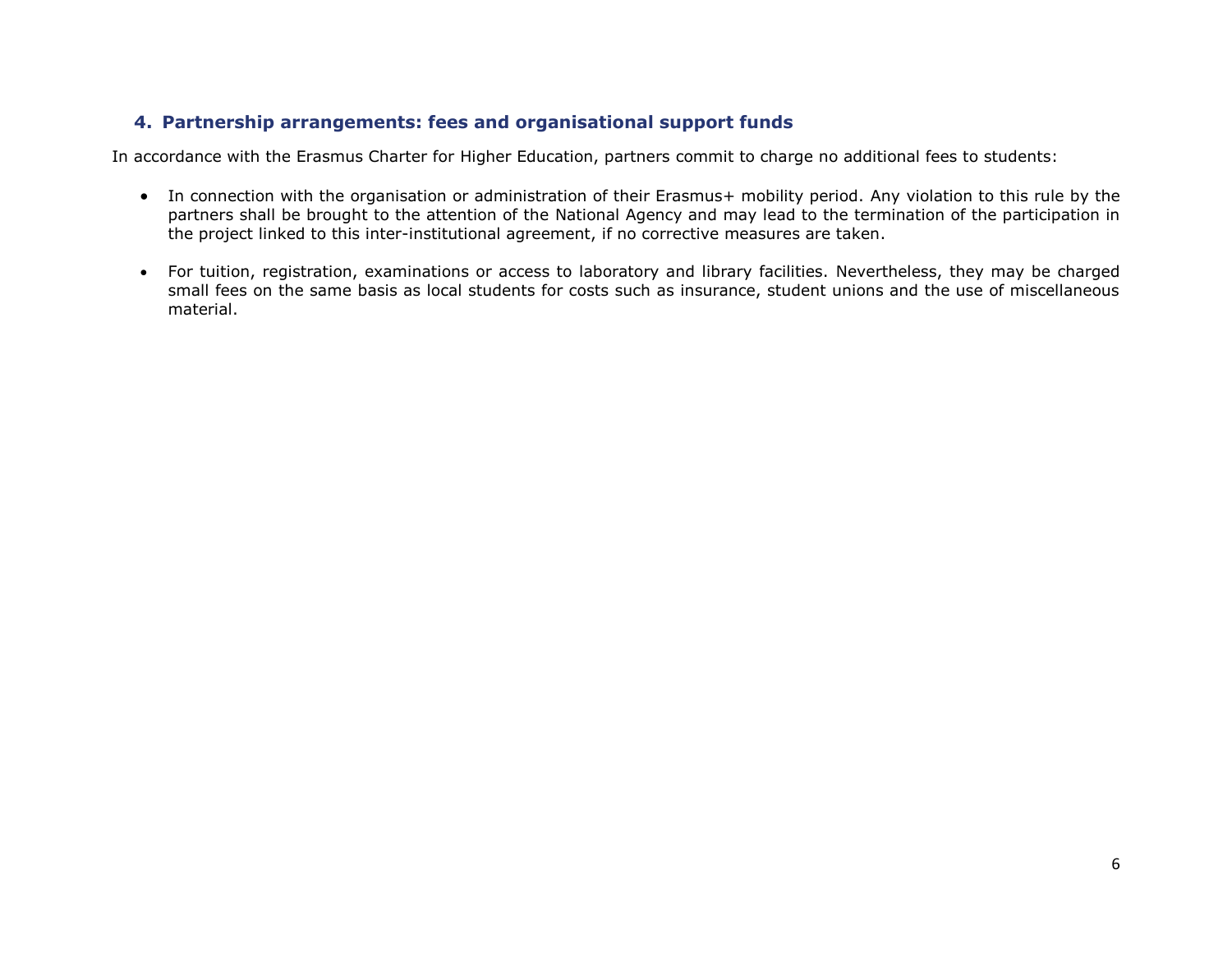## **4. Partnership arrangements: fees and organisational support funds**

In accordance with the Erasmus Charter for Higher Education, partners commit to charge no additional fees to students:

- In connection with the organisation or administration of their Erasmus+ mobility period. Any violation to this rule by the partners shall be brought to the attention of the National Agency and may lead to the termination of the participation in the project linked to this inter-institutional agreement, if no corrective measures are taken.
- For tuition, registration, examinations or access to laboratory and library facilities. Nevertheless, they may be charged small fees on the same basis as local students for costs such as insurance, student unions and the use of miscellaneous material.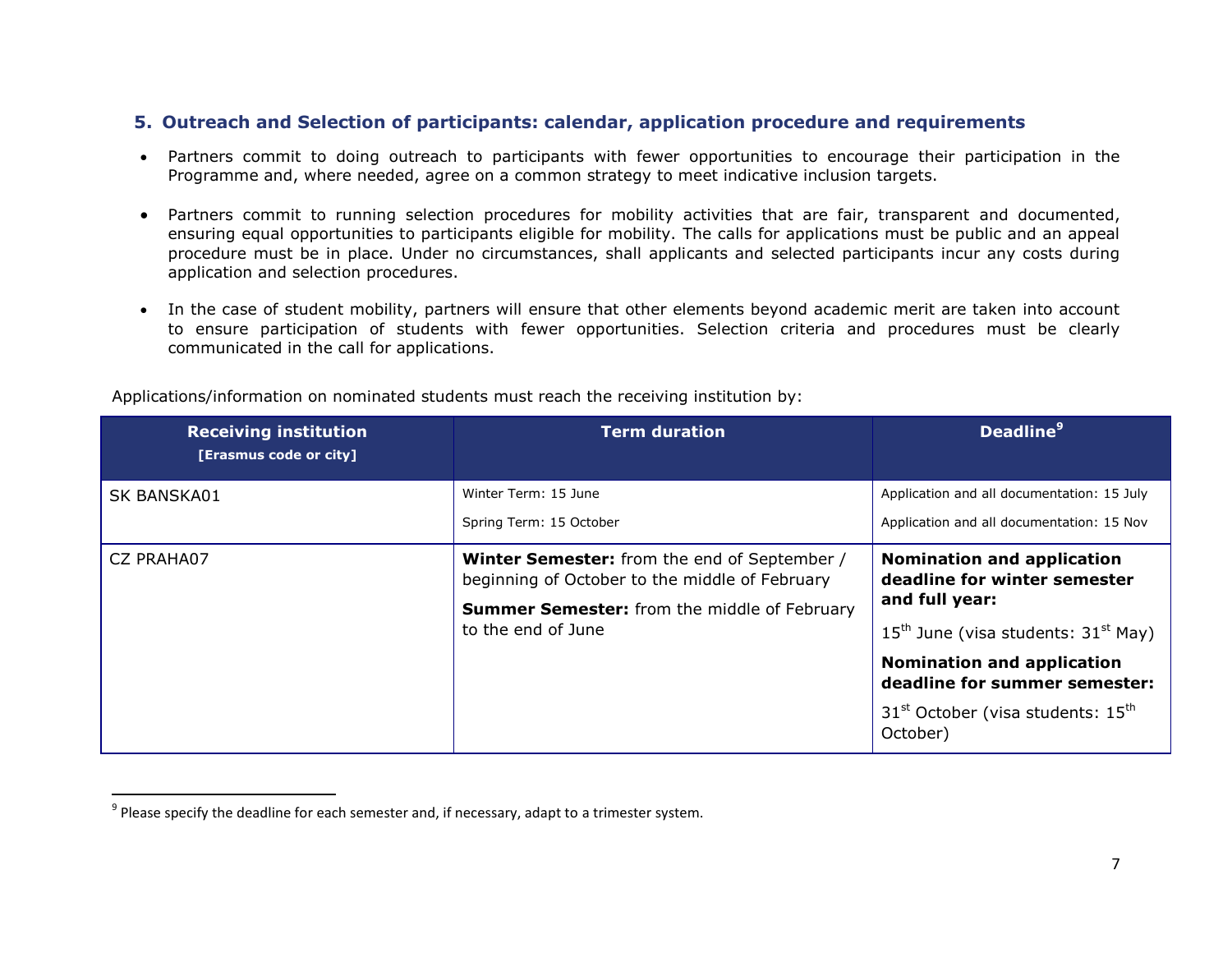#### **5. Outreach and Selection of participants: calendar, application procedure and requirements**

- Partners commit to doing outreach to participants with fewer opportunities to encourage their participation in the Programme and, where needed, agree on a common strategy to meet indicative inclusion targets.
- Partners commit to running selection procedures for mobility activities that are fair, transparent and documented, ensuring equal opportunities to participants eligible for mobility. The calls for applications must be public and an appeal procedure must be in place. Under no circumstances, shall applicants and selected participants incur any costs during application and selection procedures.
- In the case of student mobility, partners will ensure that other elements beyond academic merit are taken into account to ensure participation of students with fewer opportunities. Selection criteria and procedures must be clearly communicated in the call for applications.

| <b>Receiving institution</b><br>[Erasmus code or city] | <b>Term duration</b>                                                                                                                                                               | <b>Deadline</b> <sup>9</sup>                                                                                                   |
|--------------------------------------------------------|------------------------------------------------------------------------------------------------------------------------------------------------------------------------------------|--------------------------------------------------------------------------------------------------------------------------------|
| SK BANSKA01                                            | Winter Term: 15 June                                                                                                                                                               | Application and all documentation: 15 July                                                                                     |
|                                                        | Spring Term: 15 October                                                                                                                                                            | Application and all documentation: 15 Nov                                                                                      |
| CZ PRAHA07                                             | <b>Winter Semester:</b> from the end of September /<br>beginning of October to the middle of February<br><b>Summer Semester:</b> from the middle of February<br>to the end of June | <b>Nomination and application</b><br>deadline for winter semester<br>and full year:<br>$15th$ June (visa students: $31st$ May) |
|                                                        |                                                                                                                                                                                    | <b>Nomination and application</b><br>deadline for summer semester:                                                             |
|                                                        |                                                                                                                                                                                    | 31 <sup>st</sup> October (visa students: 15 <sup>th</sup><br>October)                                                          |

Applications/information on nominated students must reach the receiving institution by:

<sup>&</sup>lt;u>prease specify the deadline for each semester and</u>, if necessary, adapt to a trimester system.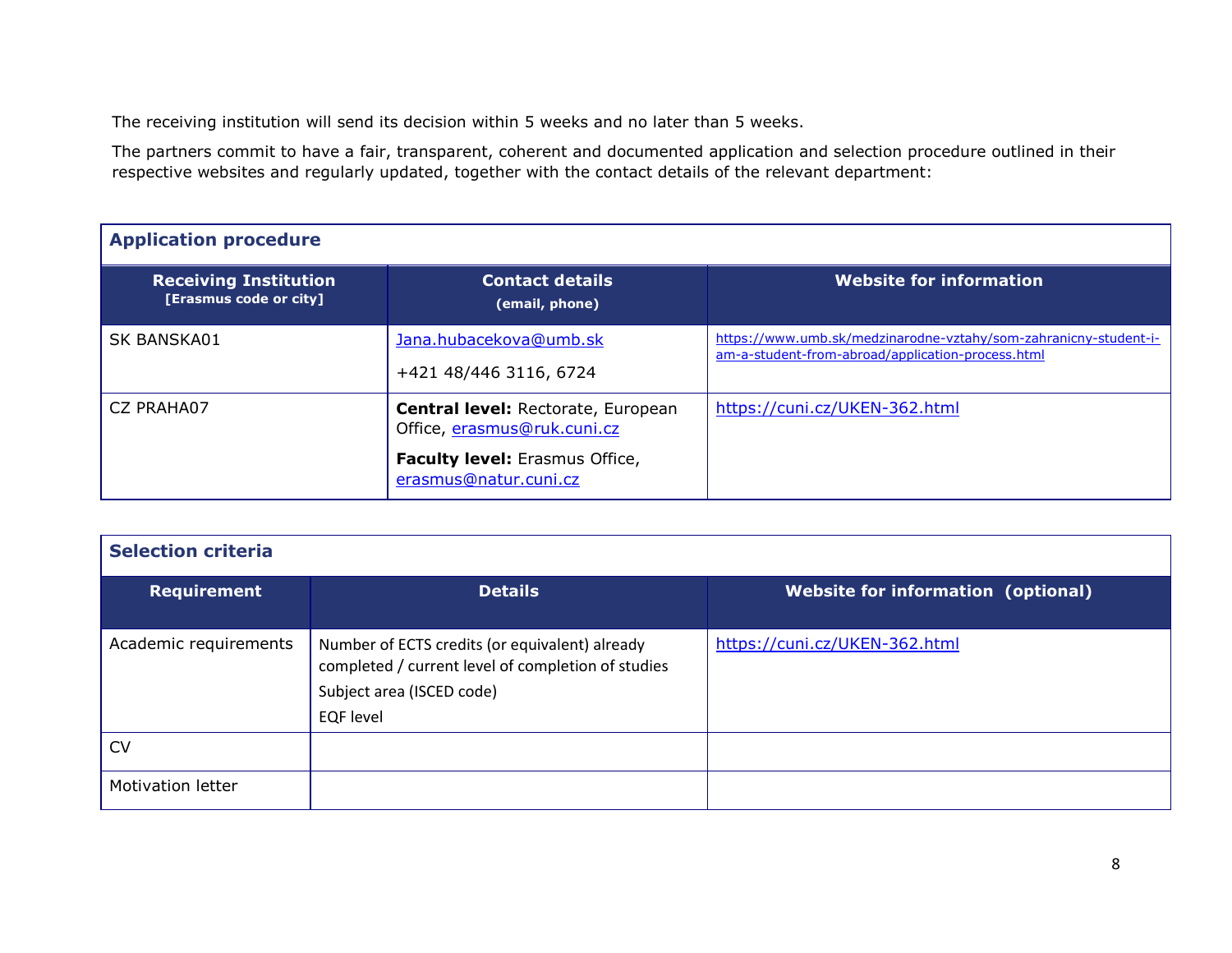The receiving institution will send its decision within 5 weeks and no later than 5 weeks.

The partners commit to have a fair, transparent, coherent and documented application and selection procedure outlined in their respective websites and regularly updated, together with the contact details of the relevant department:

| <b>Application procedure</b>                           |                                                                   |                                                                                                                       |  |  |  |  |
|--------------------------------------------------------|-------------------------------------------------------------------|-----------------------------------------------------------------------------------------------------------------------|--|--|--|--|
| <b>Receiving Institution</b><br>[Erasmus code or city] | <b>Contact details</b><br>(email, phone)                          | Website for information                                                                                               |  |  |  |  |
| SK BANSKA01                                            | Jana.hubacekova@umb.sk<br>+421 48/446 3116, 6724                  | https://www.umb.sk/medzinarodne-vztahy/som-zahranicny-student-i-<br>am-a-student-from-abroad/application-process.html |  |  |  |  |
| CZ PRAHA07                                             | Central level: Rectorate, European<br>Office, erasmus@ruk.cuni.cz | https://cuni.cz/UKEN-362.html                                                                                         |  |  |  |  |
|                                                        | <b>Faculty level:</b> Erasmus Office,<br>erasmus@natur.cuni.cz    |                                                                                                                       |  |  |  |  |

| <b>Selection criteria</b> |                                                                                                                                                       |                                           |  |  |  |  |
|---------------------------|-------------------------------------------------------------------------------------------------------------------------------------------------------|-------------------------------------------|--|--|--|--|
| <b>Requirement</b>        | <b>Details</b>                                                                                                                                        | <b>Website for information (optional)</b> |  |  |  |  |
| Academic requirements     | Number of ECTS credits (or equivalent) already<br>completed / current level of completion of studies<br>Subject area (ISCED code)<br><b>EQF</b> level | https://cuni.cz/UKEN-362.html             |  |  |  |  |
| CV                        |                                                                                                                                                       |                                           |  |  |  |  |
| <b>Motivation letter</b>  |                                                                                                                                                       |                                           |  |  |  |  |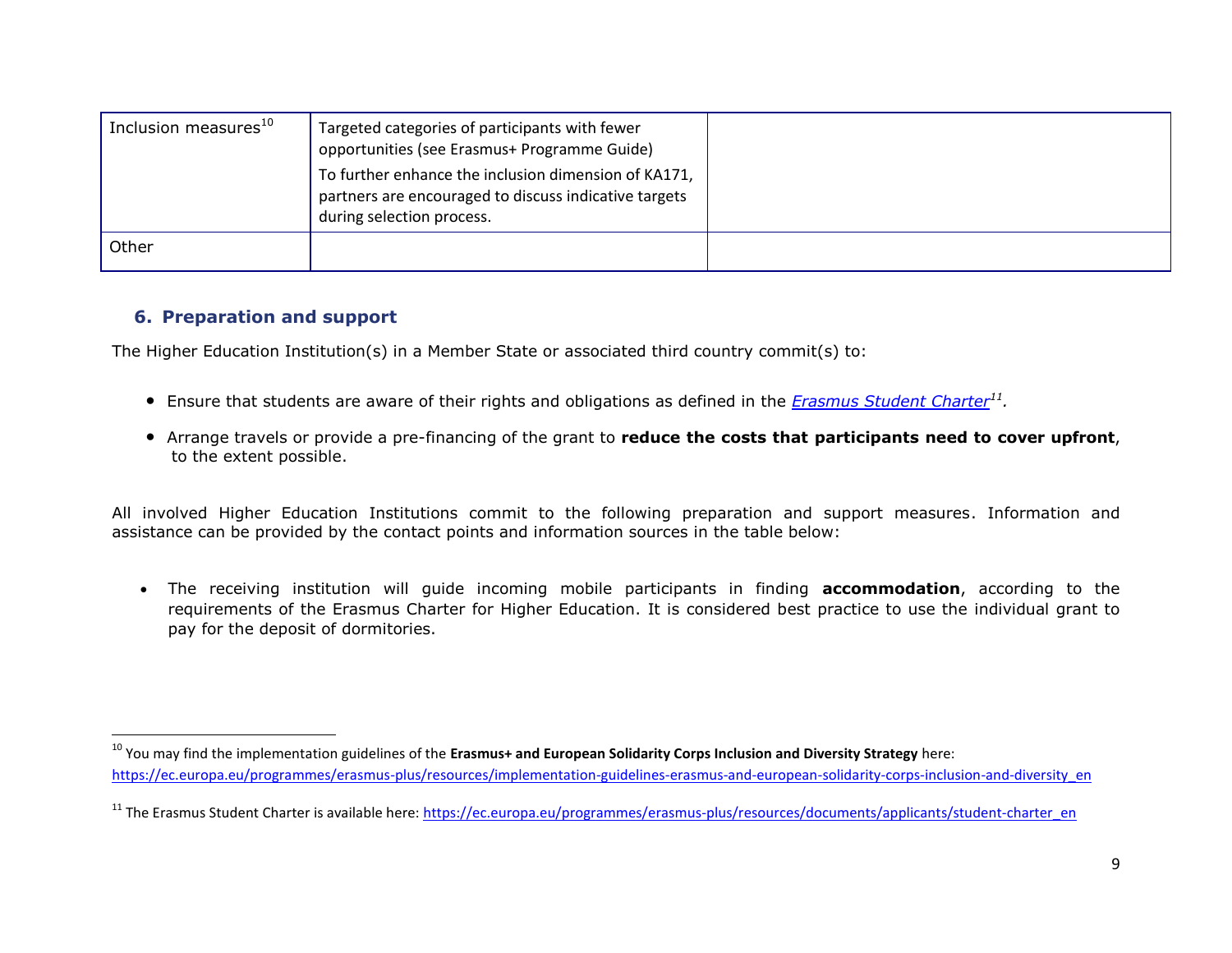| $^{\prime}$ Inclusion measures $^{10}$ | Targeted categories of participants with fewer<br>opportunities (see Erasmus+ Programme Guide)<br>To further enhance the inclusion dimension of KA171,<br>partners are encouraged to discuss indicative targets<br>during selection process. |  |
|----------------------------------------|----------------------------------------------------------------------------------------------------------------------------------------------------------------------------------------------------------------------------------------------|--|
| Other                                  |                                                                                                                                                                                                                                              |  |

## **6. Preparation and support**

 $\overline{\phantom{a}}$ 

The Higher Education Institution(s) in a Member State or associated third country commit(s) to:

- Ensure that students are aware of their rights and obligations as defined in the *[Erasmus Student Charter](https://ec.europa.eu/programmes/erasmus-plus/resources/documents/applicants/student-charter_en)<sup>11</sup> .*
- Arrange travels or provide a pre-financing of the grant to **reduce the costs that participants need to cover upfront**, to the extent possible.

All involved Higher Education Institutions commit to the following preparation and support measures. Information and assistance can be provided by the contact points and information sources in the table below:

 The receiving institution will guide incoming mobile participants in finding **accommodation**, according to the requirements of the Erasmus Charter for Higher Education. It is considered best practice to use the individual grant to pay for the deposit of dormitories.

<sup>10</sup> You may find the implementation guidelines of the **Erasmus+ and European Solidarity Corps Inclusion and Diversity Strategy** here: [https://ec.europa.eu/programmes/erasmus-plus/resources/implementation-guidelines-erasmus-and-european-solidarity-corps-inclusion-and-diversity\\_en](https://ec.europa.eu/programmes/erasmus-plus/resources/implementation-guidelines-erasmus-and-european-solidarity-corps-inclusion-and-diversity_en)

<sup>&</sup>lt;sup>11</sup> The Erasmus Student Charter is available here: [https://ec.europa.eu/programmes/erasmus-plus/resources/documents/applicants/student-charter\\_en](https://ec.europa.eu/programmes/erasmus-plus/resources/documents/applicants/student-charter_en)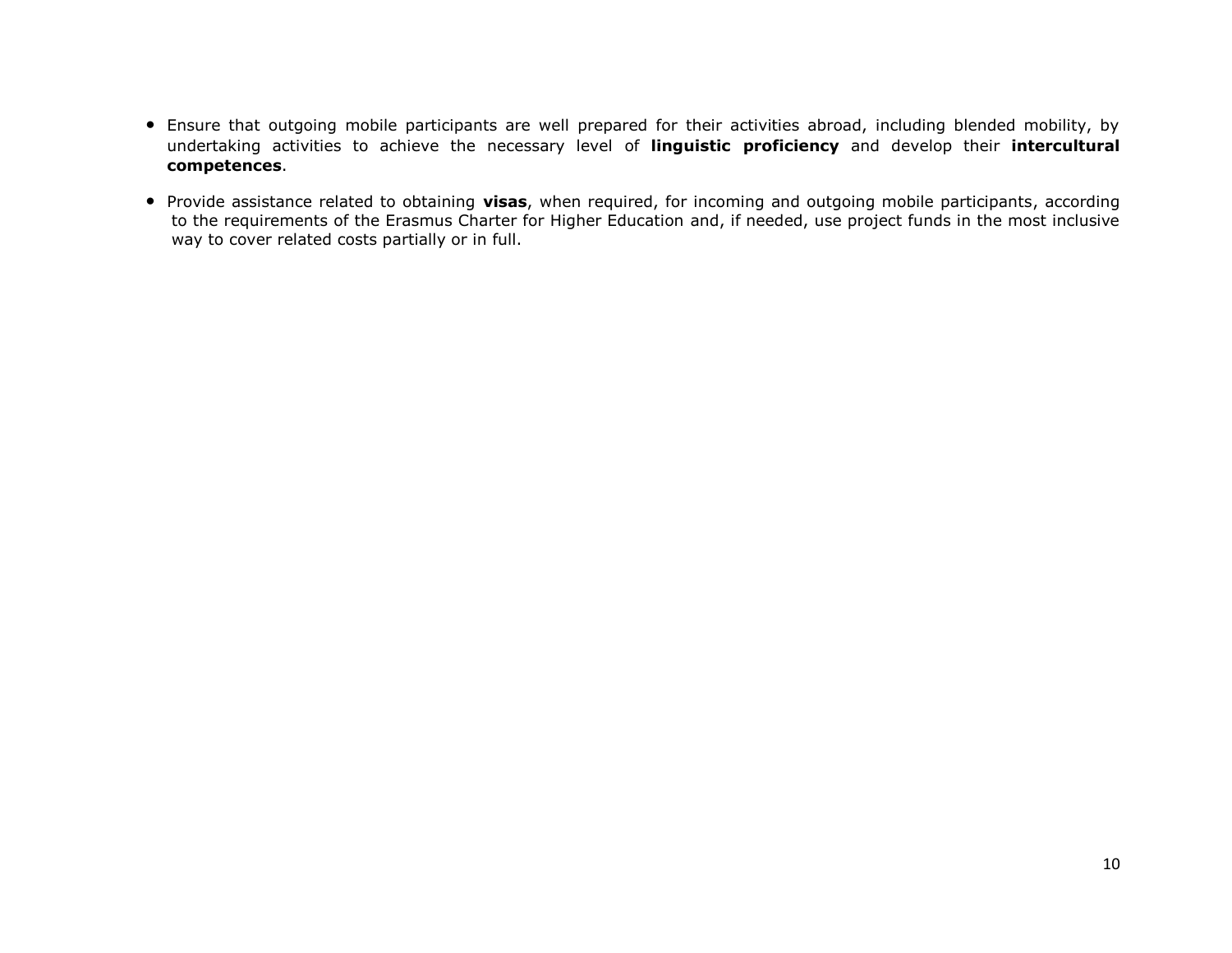- Ensure that outgoing mobile participants are well prepared for their activities abroad, including blended mobility, by undertaking activities to achieve the necessary level of **linguistic proficiency** and develop their **intercultural competences**.
- Provide assistance related to obtaining **visas**, when required, for incoming and outgoing mobile participants, according to the requirements of the Erasmus Charter for Higher Education and, if needed, use project funds in the most inclusive way to cover related costs partially or in full.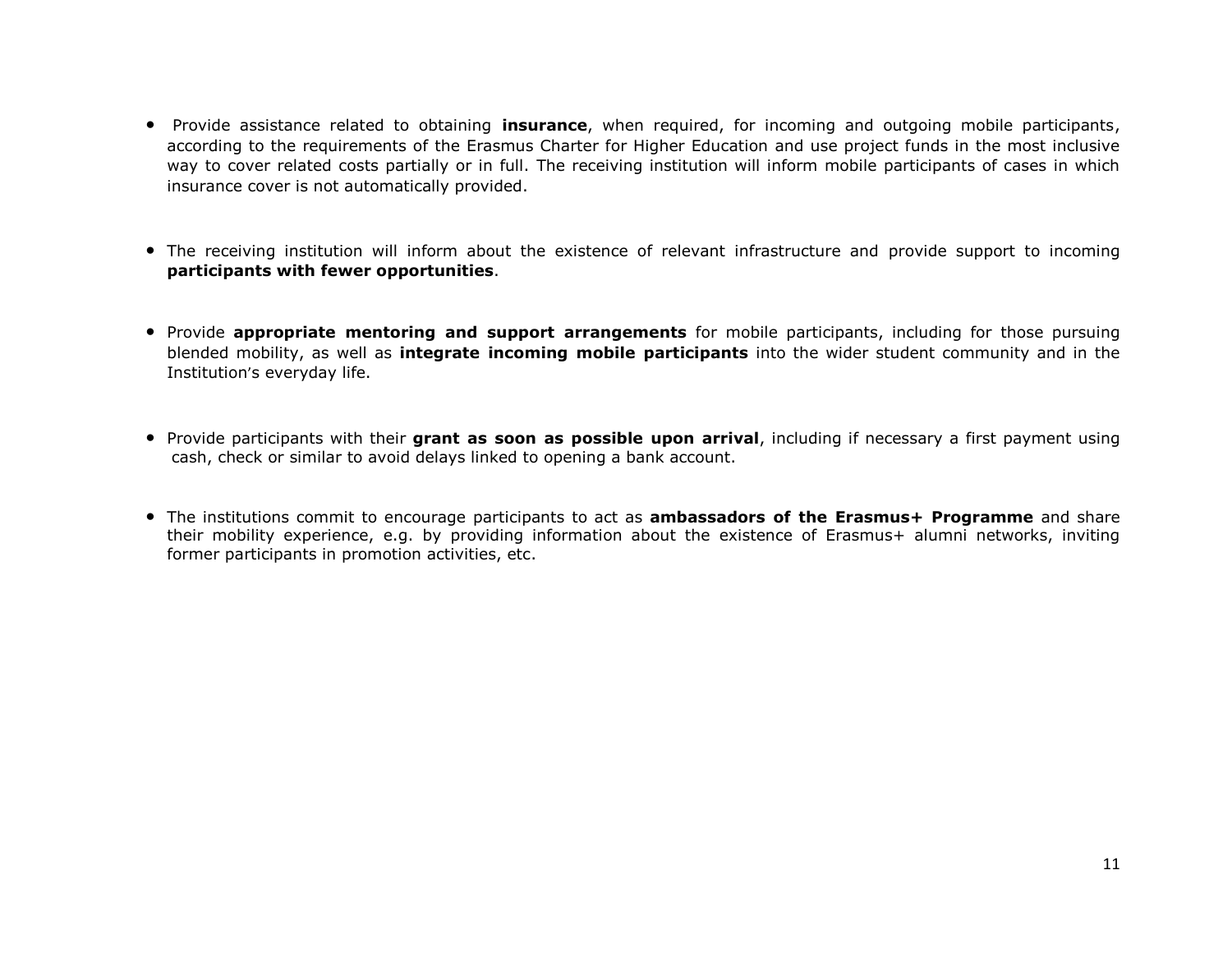- Provide assistance related to obtaining **insurance**, when required, for incoming and outgoing mobile participants, according to the requirements of the Erasmus Charter for Higher Education and use project funds in the most inclusive way to cover related costs partially or in full. The receiving institution will inform mobile participants of cases in which insurance cover is not automatically provided.
- The receiving institution will inform about the existence of relevant infrastructure and provide support to incoming **participants with fewer opportunities**.
- Provide **appropriate mentoring and support arrangements** for mobile participants, including for those pursuing blended mobility, as well as **integrate incoming mobile participants** into the wider student community and in the Institution's everyday life.
- Provide participants with their **grant as soon as possible upon arrival**, including if necessary a first payment using cash, check or similar to avoid delays linked to opening a bank account.
- The institutions commit to encourage participants to act as **ambassadors of the Erasmus+ Programme** and share their mobility experience, e.g. by providing information about the existence of Erasmus+ alumni networks, inviting former participants in promotion activities, etc.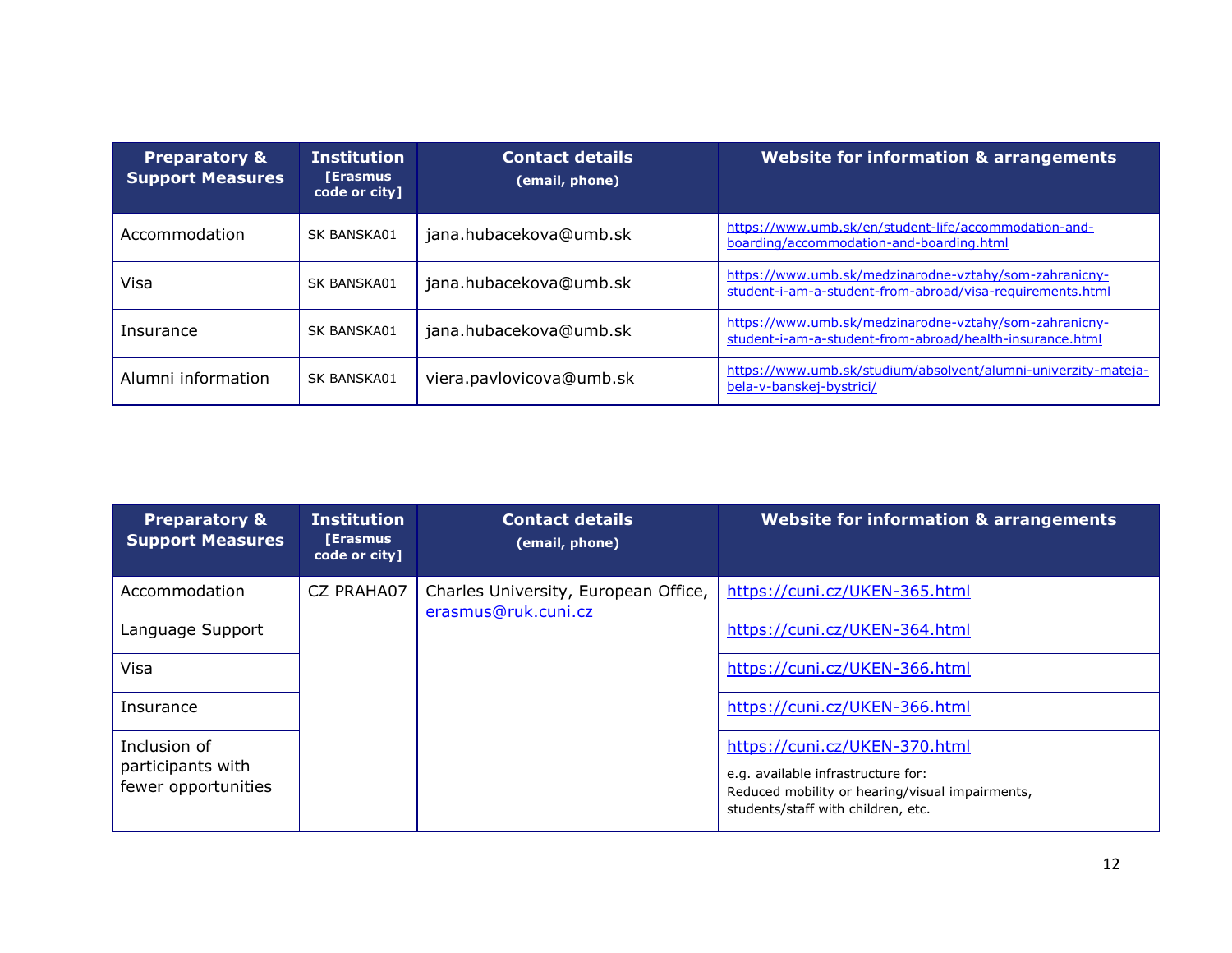| <b>Preparatory &amp;</b><br><b>Support Measures</b> | <b>Institution</b><br><b>[Erasmus</b><br>code or city] | <b>Contact details</b><br>(email, phone) | <b>Website for information &amp; arrangements</b>                                                                   |
|-----------------------------------------------------|--------------------------------------------------------|------------------------------------------|---------------------------------------------------------------------------------------------------------------------|
| Accommodation                                       | SK BANSKA01                                            | jana.hubacekova@umb.sk                   | https://www.umb.sk/en/student-life/accommodation-and-<br>boarding/accommodation-and-boarding.html                   |
| Visa                                                | SK BANSKA01                                            | jana.hubacekova@umb.sk                   | https://www.umb.sk/medzinarodne-vztahy/som-zahranicny-<br>student-i-am-a-student-from-abroad/visa-requirements.html |
| Insurance                                           | SK BANSKA01                                            | jana.hubacekova@umb.sk                   | https://www.umb.sk/medzinarodne-vztahy/som-zahranicny-<br>student-i-am-a-student-from-abroad/health-insurance.html  |
| Alumni information                                  | SK BANSKA01                                            | viera.pavlovicova@umb.sk                 | https://www.umb.sk/studium/absolvent/alumni-univerzity-mateja-<br>bela-v-banskej-bystrici/                          |

| <b>Preparatory &amp;</b><br><b>Support Measures</b>      | <b>Institution</b><br><b>[Erasmus</b><br>code or city] | <b>Contact details</b><br>(email, phone)                    | <b>Website for information &amp; arrangements</b>                                                                                                            |
|----------------------------------------------------------|--------------------------------------------------------|-------------------------------------------------------------|--------------------------------------------------------------------------------------------------------------------------------------------------------------|
| Accommodation                                            | CZ PRAHA07                                             | Charles University, European Office,<br>erasmus@ruk.cuni.cz | https://cuni.cz/UKEN-365.html                                                                                                                                |
| Language Support                                         | https://cuni.cz/UKEN-364.html                          |                                                             |                                                                                                                                                              |
| Visa                                                     |                                                        |                                                             | https://cuni.cz/UKEN-366.html                                                                                                                                |
| Insurance                                                |                                                        |                                                             | https://cuni.cz/UKEN-366.html                                                                                                                                |
| Inclusion of<br>participants with<br>fewer opportunities |                                                        |                                                             | https://cuni.cz/UKEN-370.html<br>e.g. available infrastructure for:<br>Reduced mobility or hearing/visual impairments,<br>students/staff with children, etc. |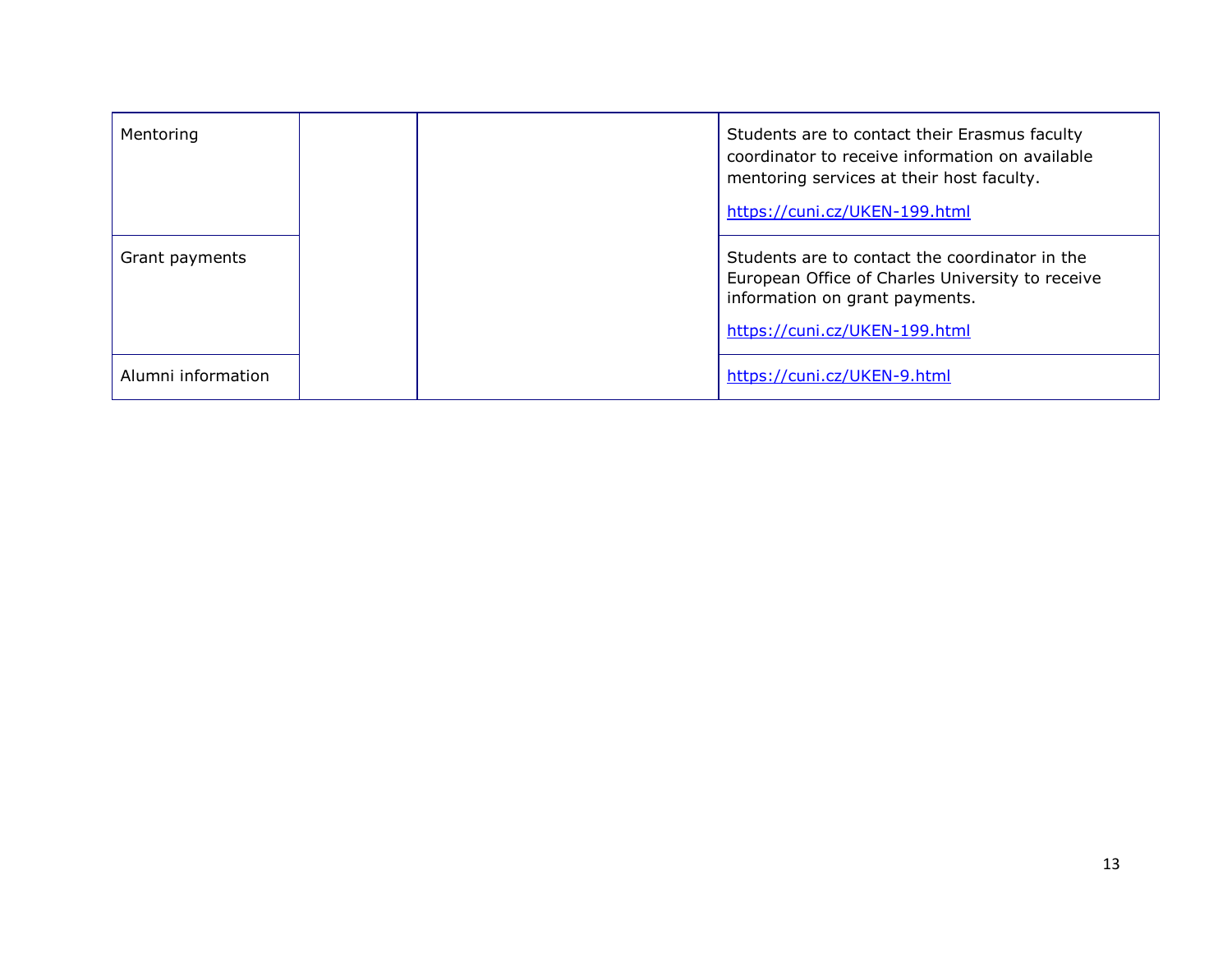| Mentoring          |  | Students are to contact their Erasmus faculty<br>coordinator to receive information on available<br>mentoring services at their host faculty.<br>https://cuni.cz/UKEN-199.html |
|--------------------|--|--------------------------------------------------------------------------------------------------------------------------------------------------------------------------------|
| Grant payments     |  | Students are to contact the coordinator in the<br>European Office of Charles University to receive<br>information on grant payments.<br>https://cuni.cz/UKEN-199.html          |
| Alumni information |  | https://cuni.cz/UKEN-9.html                                                                                                                                                    |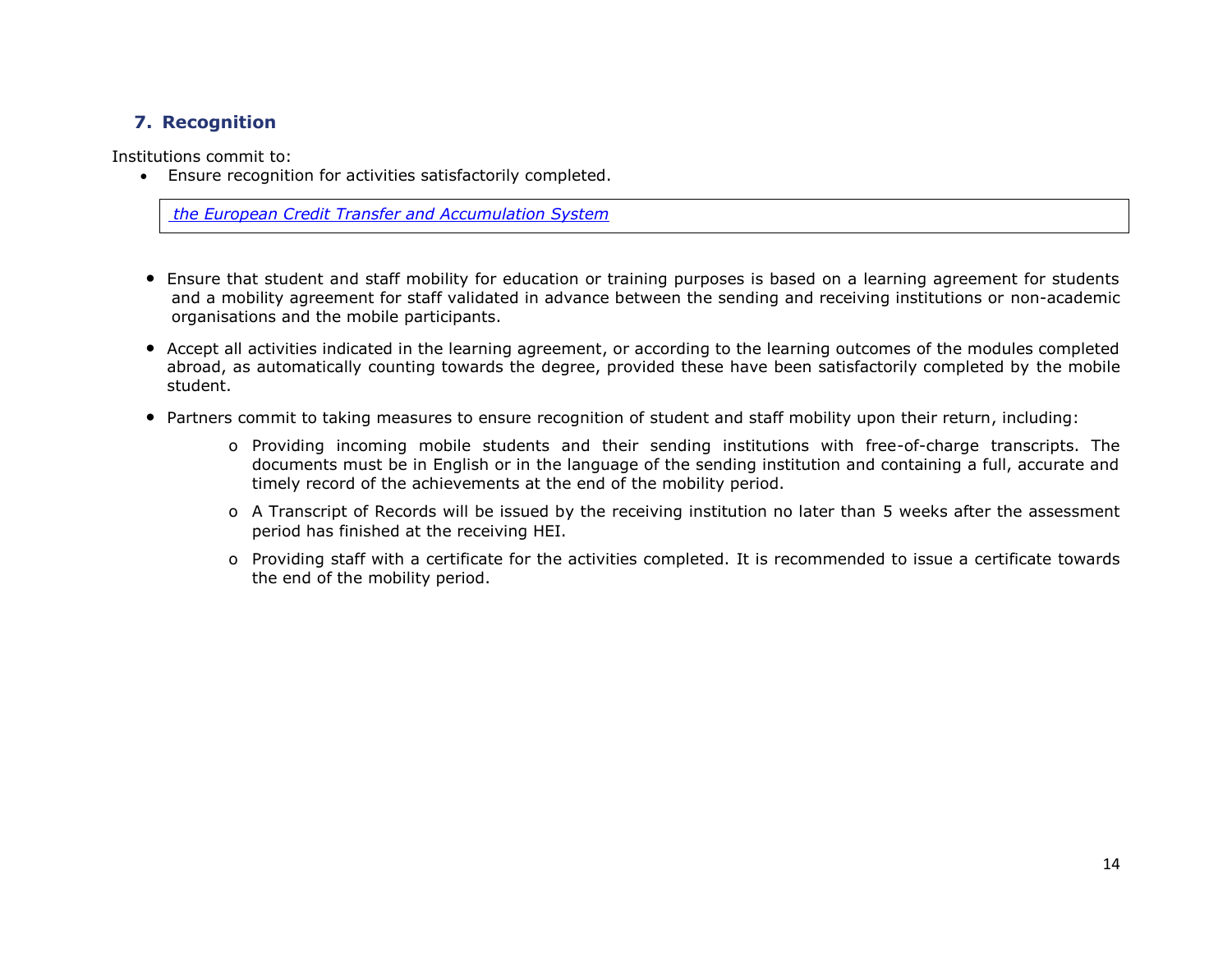# **7. Recognition**

Institutions commit to:

Ensure recognition for activities satisfactorily completed.

*[the European Credit Transfer and Accumulation System](https://ec.europa.eu/education/resources-and-tools/european-credit-transfer-and-accumulation-system-ects_en)*

- Ensure that student and staff mobility for education or training purposes is based on a learning agreement for students and a mobility agreement for staff validated in advance between the sending and receiving institutions or non-academic organisations and the mobile participants.
- Accept all activities indicated in the learning agreement, or according to the learning outcomes of the modules completed abroad, as automatically counting towards the degree, provided these have been satisfactorily completed by the mobile student.
- Partners commit to taking measures to ensure recognition of student and staff mobility upon their return, including:
	- o Providing incoming mobile students and their sending institutions with free-of-charge transcripts. The documents must be in English or in the language of the sending institution and containing a full, accurate and timely record of the achievements at the end of the mobility period.
	- o A Transcript of Records will be issued by the receiving institution no later than 5 weeks after the assessment period has finished at the receiving HEI.
	- o Providing staff with a certificate for the activities completed. It is recommended to issue a certificate towards the end of the mobility period.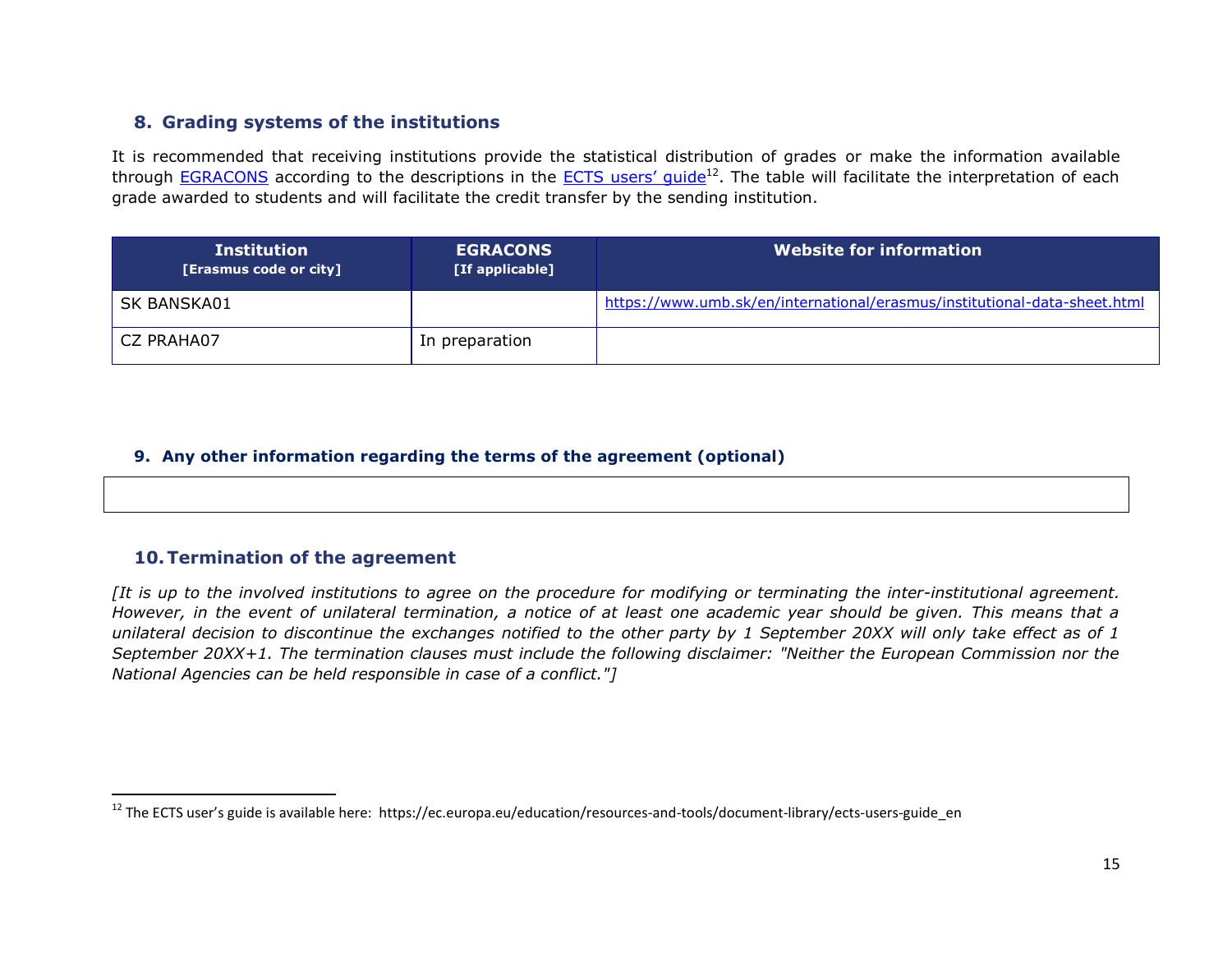## **8. Grading systems of the institutions**

It is recommended that receiving institutions provide the statistical distribution of grades or make the information available through [EGRACONS](http://egracons.eu/) according to the descriptions in the ECTS users' quide<sup>12</sup>. The table will facilitate the interpretation of each grade awarded to students and will facilitate the credit transfer by the sending institution.

| <b>Institution</b><br>[Erasmus code or city] | <b>EGRACONS</b><br>[If applicable] | <b>Website for information</b>                                            |
|----------------------------------------------|------------------------------------|---------------------------------------------------------------------------|
| SK BANSKA01                                  |                                    | https://www.umb.sk/en/international/erasmus/institutional-data-sheet.html |
| CZ PRAHA07                                   | In preparation                     |                                                                           |

#### **9. Any other information regarding the terms of the agreement (optional)**

#### **10.Termination of the agreement**

l

*[It is up to the involved institutions to agree on the procedure for modifying or terminating the inter-institutional agreement. However, in the event of unilateral termination, a notice of at least one academic year should be given. This means that a unilateral decision to discontinue the exchanges notified to the other party by 1 September 20XX will only take effect as of 1 September 20XX+1. The termination clauses must include the following disclaimer: "Neither the European Commission nor the National Agencies can be held responsible in case of a conflict."]*

 $^{12}$  The ECTS user's guide is available here: https://ec.europa.eu/education/resources-and-tools/document-library/ects-users-guide\_en